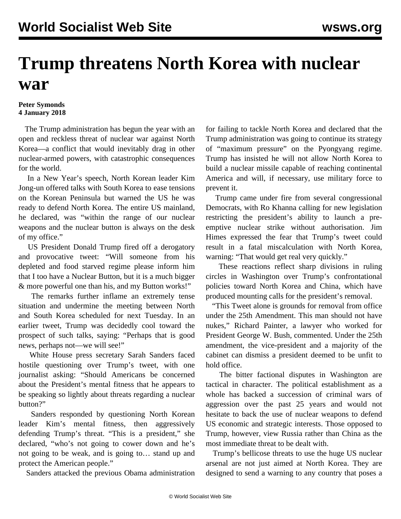## **Trump threatens North Korea with nuclear war**

## **Peter Symonds 4 January 2018**

 The Trump administration has begun the year with an open and reckless threat of nuclear war against North Korea—a conflict that would inevitably drag in other nuclear-armed powers, with catastrophic consequences for the world.

 In a New Year's speech, North Korean leader Kim Jong-un offered talks with South Korea to ease tensions on the Korean Peninsula but warned the US he was ready to defend North Korea. The entire US mainland, he declared, was "within the range of our nuclear weapons and the nuclear button is always on the desk of my office."

 US President Donald Trump fired off a derogatory and provocative tweet: "Will someone from his depleted and food starved regime please inform him that I too have a Nuclear Button, but it is a much bigger & more powerful one than his, and my Button works!"

 The remarks further inflame an extremely tense situation and undermine the meeting between North and South Korea scheduled for next Tuesday. In an earlier tweet, Trump was decidedly cool toward the prospect of such talks, saying: "Perhaps that is good news, perhaps not—we will see!"

 White House press secretary Sarah Sanders faced hostile questioning over Trump's tweet, with one journalist asking: "Should Americans be concerned about the President's mental fitness that he appears to be speaking so lightly about threats regarding a nuclear button?"

 Sanders responded by questioning North Korean leader Kim's mental fitness, then aggressively defending Trump's threat. "This is a president," she declared, "who's not going to cower down and he's not going to be weak, and is going to… stand up and protect the American people."

Sanders attacked the previous Obama administration

for failing to tackle North Korea and declared that the Trump administration was going to continue its strategy of "maximum pressure" on the Pyongyang regime. Trump has insisted he will not allow North Korea to build a nuclear missile capable of reaching continental America and will, if necessary, use military force to prevent it.

 Trump came under fire from several congressional Democrats, with Ro Khanna calling for new legislation restricting the president's ability to launch a preemptive nuclear strike without authorisation. Jim Himes expressed the fear that Trump's tweet could result in a fatal miscalculation with North Korea, warning: "That would get real very quickly."

 These reactions reflect sharp divisions in ruling circles in Washington over Trump's confrontational policies toward North Korea and China, which have produced mounting calls for the president's removal.

 "This Tweet alone is grounds for removal from office under the 25th Amendment. This man should not have nukes," Richard Painter, a lawyer who worked for President George W. Bush, commented. Under the 25th amendment, the vice-president and a majority of the cabinet can dismiss a president deemed to be unfit to hold office.

 The bitter factional disputes in Washington are tactical in character. The political establishment as a whole has backed a succession of criminal wars of aggression over the past 25 years and would not hesitate to back the use of nuclear weapons to defend US economic and strategic interests. Those opposed to Trump, however, view Russia rather than China as the most immediate threat to be dealt with.

 Trump's bellicose threats to use the huge US nuclear arsenal are not just aimed at North Korea. They are designed to send a warning to any country that poses a